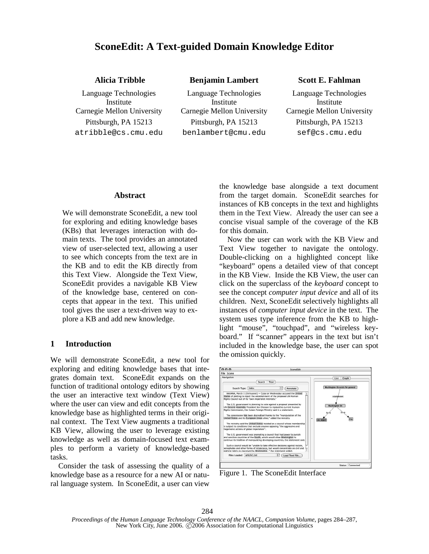# **SconeEdit: A Text-guided Domain Knowledge Editor**

|  | <b>Alicia Tribble</b> |
|--|-----------------------|
|  |                       |

Language Technologies Institute Carnegie Mellon University Carnegie Mellon University Carnegie Mellon University atribble@cs.cmu.edu benlambert@cmu.edu sef@cs.cmu.edu

Language Technologies Institute Pittsburgh, PA 15213 Pittsburgh, PA 15213 Pittsburgh, PA 15213

### **Benjamin Lambert Scott E. Fahlman**

Language Technologies Institute

### **Abstract**

We will demonstrate SconeEdit, a new tool for exploring and editing knowledge bases (KBs) that leverages interaction with domain texts. The tool provides an annotated view of user-selected text, allowing a user to see which concepts from the text are in the KB and to edit the KB directly from this Text View. Alongside the Text View, SconeEdit provides a navigable KB View of the knowledge base, centered on concepts that appear in the text. This unified tool gives the user a text-driven way to explore a KB and add new knowledge.

### **1 Introduction**

We will demonstrate SconeEdit, a new tool for exploring and editing knowledge bases that integrates domain text. SconeEdit expands on the function of traditional ontology editors by showing the user an interactive text window (Text View) where the user can view and edit concepts from the knowledge base as highlighted terms in their original context. The Text View augments a traditional KB View, allowing the user to leverage existing knowledge as well as domain-focused text examples to perform a variety of knowledge-based tasks.

Consider the task of assessing the quality of a knowledge base as a resource for a new AI or natural language system. In SconeEdit, a user can view the knowledge base alongside a text document from the target domain. SconeEdit searches for instances of KB concepts in the text and highlights them in the Text View. Already the user can see a concise visual sample of the coverage of the KB for this domain.

Now the user can work with the KB View and Text View together to navigate the ontology. Double-clicking on a highlighted concept like "keyboard" opens a detailed view of that concept in the KB View. Inside the KB View, the user can click on the superclass of the *keyboard* concept to see the concept *computer input device* and all of its children. Next, SconeEdit selectively highlights all instances of *computer input device* in the text. The system uses type inference from the KB to highlight "mouse", "touchpad", and "wireless keyboard." If "scanner" appears in the text but isn't included in the knowledge base, the user can spot the omission quickly.



Figure 1. The SconeEdit Interface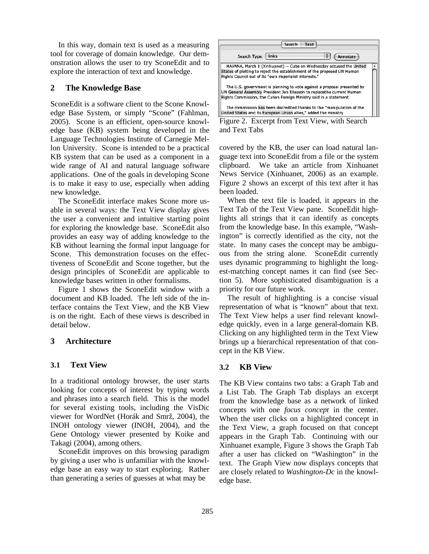In this way, domain text is used as a measuring tool for coverage of domain knowledge. Our demonstration allows the user to try SconeEdit and to explore the interaction of text and knowledge.

### **2 The Knowledge Base**

SconeEdit is a software client to the Scone Knowledge Base System, or simply "Scone" (Fahlman, 2005). Scone is an efficient, open-source knowledge base (KB) system being developed in the Language Technologies Institute of Carnegie Mellon University. Scone is intended to be a practical KB system that can be used as a component in a wide range of AI and natural language software applications. One of the goals in developing Scone is to make it easy to use, especially when adding new knowledge.

The SconeEdit interface makes Scone more usable in several ways: the Text View display gives the user a convenient and intuitive starting point for exploring the knowledge base. SconeEdit also provides an easy way of adding knowledge to the KB without learning the formal input language for Scone. This demonstration focuses on the effectiveness of SconeEdit and Scone together, but the design principles of SconeEdit are applicable to knowledge bases written in other formalisms.

Figure 1 shows the SconeEdit window with a document and KB loaded. The left side of the interface contains the Text View, and the KB View is on the right. Each of these views is described in detail below.

### **3 Architecture**

### **3.1 Text View**

In a traditional ontology browser, the user starts looking for concepts of interest by typing words and phrases into a search field. This is the model for several existing tools, including the VisDic viewer for WordNet (Horák and Smrž, 2004), the INOH ontology viewer (INOH, 2004), and the Gene Ontology viewer presented by Koike and Takagi (2004), among others.

SconeEdit improves on this browsing paradigm by giving a user who is unfamiliar with the knowledge base an easy way to start exploring. Rather than generating a series of guesses at what may be



Figure 2. Excerpt from Text View, with Search and Text Tabs

covered by the KB, the user can load natural language text into SconeEdit from a file or the system clipboard. We take an article from Xinhuanet News Service (Xinhuanet, 2006) as an example. Figure 2 shows an excerpt of this text after it has been loaded.

When the text file is loaded, it appears in the Text Tab of the Text View pane. SconeEdit highlights all strings that it can identify as concepts from the knowledge base. In this example, "Washington" is correctly identified as the city, not the state. In many cases the concept may be ambiguous from the string alone. SconeEdit currently uses dynamic programming to highlight the longest-matching concept names it can find (see Section 5). More sophisticated disambiguation is a priority for our future work.

The result of highlighting is a concise visual representation of what is "known" about that text. The Text View helps a user find relevant knowledge quickly, even in a large general-domain KB. Clicking on any highlighted term in the Text View brings up a hierarchical representation of that concept in the KB View.

## **3.2 KB View**

The KB View contains two tabs: a Graph Tab and a List Tab. The Graph Tab displays an excerpt from the knowledge base as a network of linked concepts with one *focus concept* in the center. When the user clicks on a highlighted concept in the Text View, a graph focused on that concept appears in the Graph Tab. Continuing with our Xinhuanet example, Figure 3 shows the Graph Tab after a user has clicked on "Washington" in the text. The Graph View now displays concepts that are closely related to *Washington-Dc* in the knowledge base.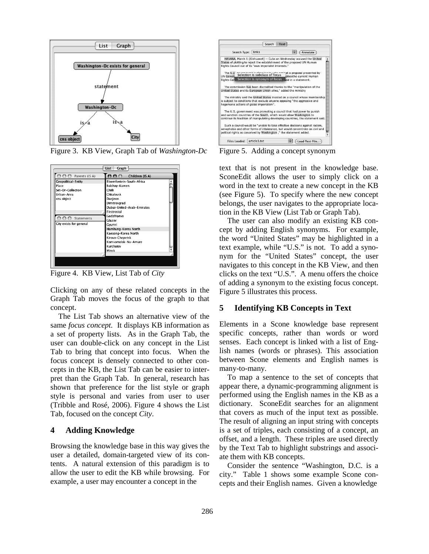

Figure 3. KB View, Graph Tab of *Washington-Dc*



Figure 4. KB View, List Tab of *City*

Clicking on any of these related concepts in the Graph Tab moves the focus of the graph to that concept.

The List Tab shows an alternative view of the same *focus concept.* It displays KB information as a set of property lists. As in the Graph Tab, the user can double-click on any concept in the List Tab to bring that concept into focus. When the focus concept is densely connected to other concepts in the KB, the List Tab can be easier to interpret than the Graph Tab. In general, research has shown that preference for the list style or graph style is personal and varies from user to user (Tribble and Rosé, 2006). Figure 4 shows the List Tab, focused on the concept *City*.

### **4 Adding Knowledge**

Browsing the knowledge base in this way gives the user a detailed, domain-targeted view of its contents. A natural extension of this paradigm is to allow the user to edit the KB while browsing. For example, a user may encounter a concept in the



Figure 5. Adding a concept synonym

text that is not present in the knowledge base. SconeEdit allows the user to simply click on a word in the text to create a new concept in the KB (see Figure 5). To specify where the new concept belongs, the user navigates to the appropriate location in the KB View (List Tab or Graph Tab).

The user can also modify an existing KB concept by adding English synonyms. For example, the word "United States" may be highlighted in a text example, while "U.S." is not. To add a synonym for the "United States" concept, the user navigates to this concept in the KB View, and then clicks on the text "U.S.". A menu offers the choice of adding a synonym to the existing focus concept. Figure 5 illustrates this process.

## **5 Identifying KB Concepts in Text**

Elements in a Scone knowledge base represent specific concepts, rather than words or word senses. Each concept is linked with a list of English names (words or phrases). This association between Scone elements and English names is many-to-many.

To map a sentence to the set of concepts that appear there, a dynamic-programming alignment is performed using the English names in the KB as a dictionary. SconeEdit searches for an alignment that covers as much of the input text as possible. The result of aligning an input string with concepts is a set of triples, each consisting of a concept, an offset, and a length. These triples are used directly by the Text Tab to highlight substrings and associate them with KB concepts.

Consider the sentence "Washington, D.C. is a city." Table 1 shows some example Scone concepts and their English names. Given a knowledge